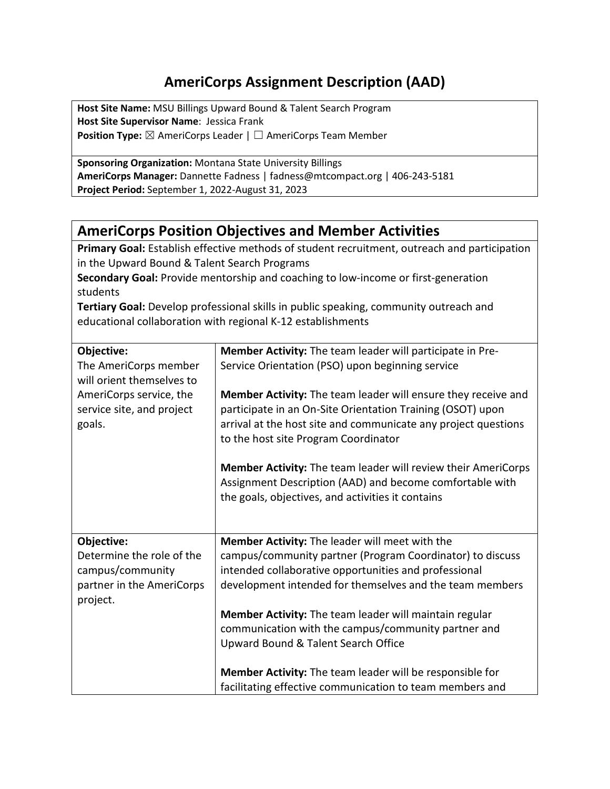## **AmeriCorps Assignment Description (AAD)**

**Host Site Name:** MSU Billings Upward Bound & Talent Search Program **Host Site Supervisor Name**: Jessica Frank **Position Type:** ⊠ AmeriCorps Leader | □ AmeriCorps Team Member

**Sponsoring Organization:** Montana State University Billings **AmeriCorps Manager:** Dannette Fadness | fadness@mtcompact.org | 406-243-5181 **Project Period:** September 1, 2022-August 31, 2023

## **AmeriCorps Position Objectives and Member Activities**

**Primary Goal:** Establish effective methods of student recruitment, outreach and participation in the Upward Bound & Talent Search Programs

**Secondary Goal:** Provide mentorship and coaching to low-income or first-generation students

**Tertiary Goal:** Develop professional skills in public speaking, community outreach and educational collaboration with regional K-12 establishments

| Objective:                                         | Member Activity: The team leader will participate in Pre-      |
|----------------------------------------------------|----------------------------------------------------------------|
| The AmeriCorps member<br>will orient themselves to | Service Orientation (PSO) upon beginning service               |
| AmeriCorps service, the                            | Member Activity: The team leader will ensure they receive and  |
| service site, and project                          | participate in an On-Site Orientation Training (OSOT) upon     |
| goals.                                             | arrival at the host site and communicate any project questions |
|                                                    | to the host site Program Coordinator                           |
|                                                    | Member Activity: The team leader will review their AmeriCorps  |
|                                                    | Assignment Description (AAD) and become comfortable with       |
|                                                    | the goals, objectives, and activities it contains              |
|                                                    |                                                                |
|                                                    |                                                                |
| Objective:                                         | Member Activity: The leader will meet with the                 |
| Determine the role of the                          | campus/community partner (Program Coordinator) to discuss      |
| campus/community                                   | intended collaborative opportunities and professional          |
| partner in the AmeriCorps                          | development intended for themselves and the team members       |
| project.                                           |                                                                |
|                                                    | Member Activity: The team leader will maintain regular         |
|                                                    | communication with the campus/community partner and            |
|                                                    | Upward Bound & Talent Search Office                            |
|                                                    | Member Activity: The team leader will be responsible for       |
|                                                    | facilitating effective communication to team members and       |
|                                                    |                                                                |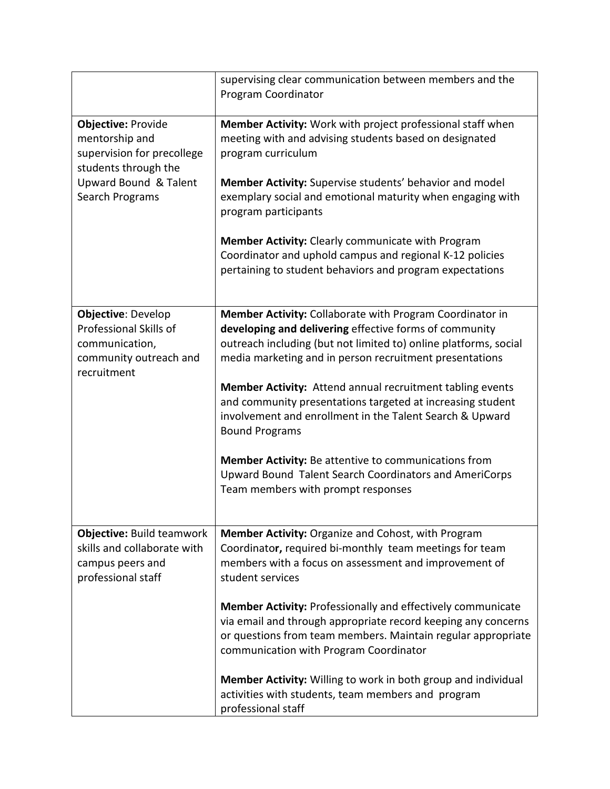|                                                                                                                                               | supervising clear communication between members and the<br>Program Coordinator                                                                                                                                                                                                                                                                                                                                                                                                                                                                                                                                                          |
|-----------------------------------------------------------------------------------------------------------------------------------------------|-----------------------------------------------------------------------------------------------------------------------------------------------------------------------------------------------------------------------------------------------------------------------------------------------------------------------------------------------------------------------------------------------------------------------------------------------------------------------------------------------------------------------------------------------------------------------------------------------------------------------------------------|
| <b>Objective: Provide</b><br>mentorship and<br>supervision for precollege<br>students through the<br>Upward Bound & Talent<br>Search Programs | Member Activity: Work with project professional staff when<br>meeting with and advising students based on designated<br>program curriculum<br>Member Activity: Supervise students' behavior and model<br>exemplary social and emotional maturity when engaging with<br>program participants<br>Member Activity: Clearly communicate with Program<br>Coordinator and uphold campus and regional K-12 policies<br>pertaining to student behaviors and program expectations                                                                                                                                                                |
| <b>Objective: Develop</b><br>Professional Skills of<br>communication,<br>community outreach and<br>recruitment                                | Member Activity: Collaborate with Program Coordinator in<br>developing and delivering effective forms of community<br>outreach including (but not limited to) online platforms, social<br>media marketing and in person recruitment presentations<br><b>Member Activity:</b> Attend annual recruitment tabling events<br>and community presentations targeted at increasing student<br>involvement and enrollment in the Talent Search & Upward<br><b>Bound Programs</b><br><b>Member Activity:</b> Be attentive to communications from<br>Upward Bound Talent Search Coordinators and AmeriCorps<br>Team members with prompt responses |
| <b>Objective: Build teamwork</b><br>skills and collaborate with<br>campus peers and<br>professional staff                                     | Member Activity: Organize and Cohost, with Program<br>Coordinator, required bi-monthly team meetings for team<br>members with a focus on assessment and improvement of<br>student services<br><b>Member Activity: Professionally and effectively communicate</b><br>via email and through appropriate record keeping any concerns<br>or questions from team members. Maintain regular appropriate<br>communication with Program Coordinator<br>Member Activity: Willing to work in both group and individual<br>activities with students, team members and program<br>professional staff                                                |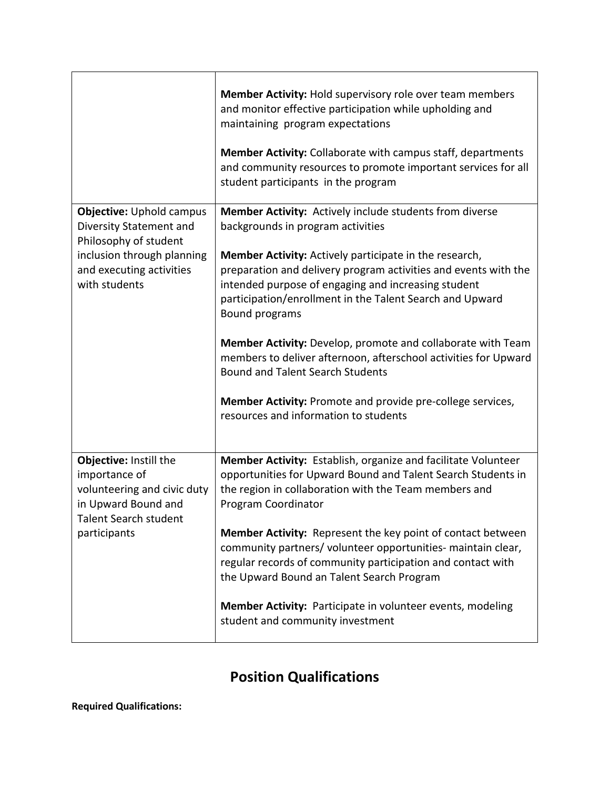|                                                                                                                                                                | Member Activity: Hold supervisory role over team members<br>and monitor effective participation while upholding and<br>maintaining program expectations<br>Member Activity: Collaborate with campus staff, departments<br>and community resources to promote important services for all<br>student participants in the program |
|----------------------------------------------------------------------------------------------------------------------------------------------------------------|--------------------------------------------------------------------------------------------------------------------------------------------------------------------------------------------------------------------------------------------------------------------------------------------------------------------------------|
|                                                                                                                                                                | Member Activity: Actively include students from diverse                                                                                                                                                                                                                                                                        |
| <b>Objective: Uphold campus</b><br>Diversity Statement and<br>Philosophy of student<br>inclusion through planning<br>and executing activities<br>with students | backgrounds in program activities                                                                                                                                                                                                                                                                                              |
|                                                                                                                                                                | Member Activity: Actively participate in the research,<br>preparation and delivery program activities and events with the<br>intended purpose of engaging and increasing student<br>participation/enrollment in the Talent Search and Upward<br><b>Bound programs</b>                                                          |
|                                                                                                                                                                | Member Activity: Develop, promote and collaborate with Team<br>members to deliver afternoon, afterschool activities for Upward<br><b>Bound and Talent Search Students</b>                                                                                                                                                      |
|                                                                                                                                                                | Member Activity: Promote and provide pre-college services,<br>resources and information to students                                                                                                                                                                                                                            |
| Objective: Instill the<br>importance of<br>volunteering and civic duty<br>in Upward Bound and<br><b>Talent Search student</b><br>participants                  | Member Activity: Establish, organize and facilitate Volunteer<br>opportunities for Upward Bound and Talent Search Students in<br>the region in collaboration with the Team members and<br>Program Coordinator                                                                                                                  |
|                                                                                                                                                                | <b>Member Activity:</b> Represent the key point of contact between<br>community partners/ volunteer opportunities- maintain clear,<br>regular records of community participation and contact with<br>the Upward Bound an Talent Search Program                                                                                 |
|                                                                                                                                                                | Member Activity: Participate in volunteer events, modeling<br>student and community investment                                                                                                                                                                                                                                 |

## **Position Qualifications**